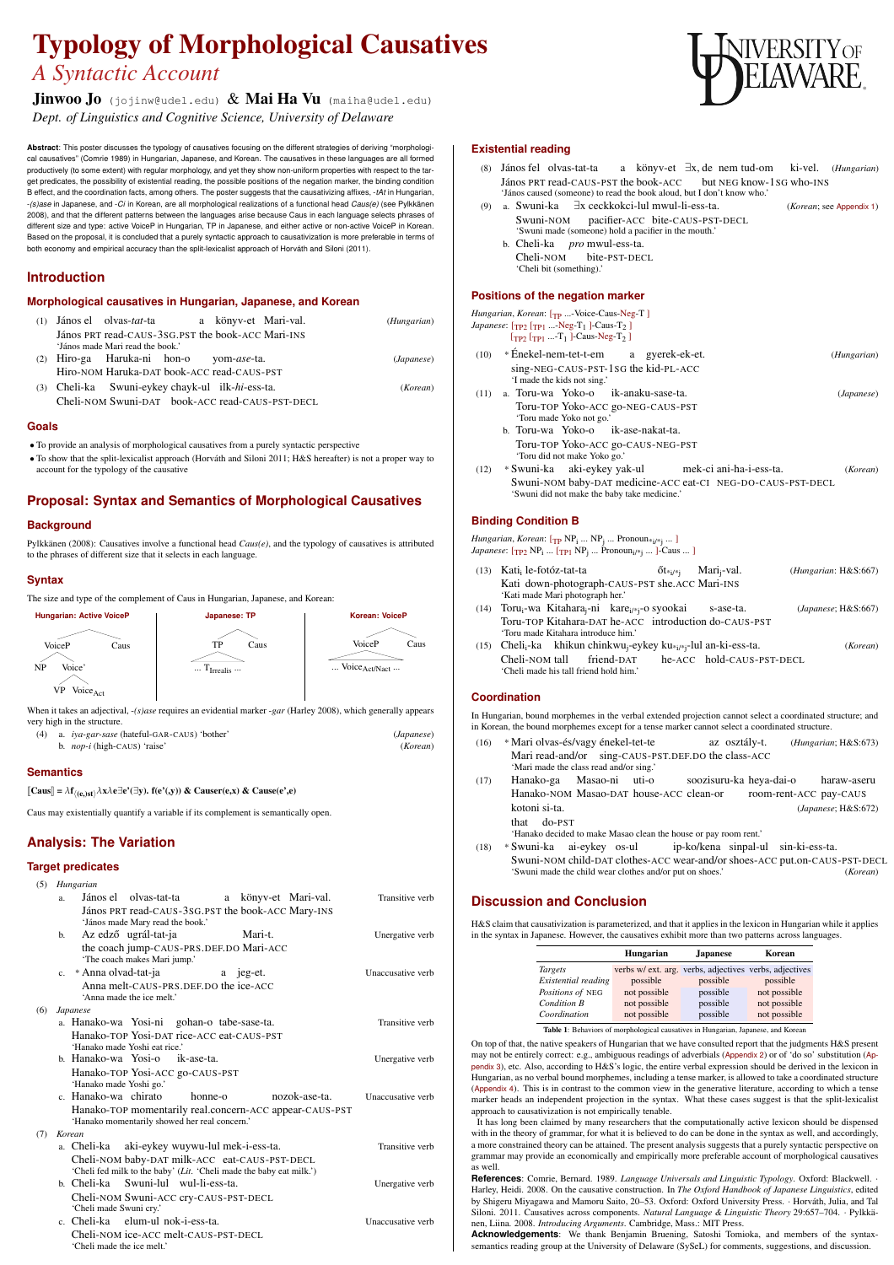# Typology of Morphological Causatives *A Syntactic Account*

Jinwoo Jo (jojinw@udel.edu)  $\&$  Mai Ha Vu (maiha@udel.edu) *Dept. of Linguistics and Cognitive Science, University of Delaware*

**Abstract**: This poster discusses the typology of causatives focusing on the different strategies of deriving "morphological causatives" (Comrie 1989) in Hungarian, Japanese, and Korean. The causatives in these languages are all formed productively (to some extent) with regular morphology, and yet they show non-uniform properties with respect to the target predicates, the possibility of existential reading, the possible positions of the negation marker, the binding condition B effect, and the coordination facts, among others. The poster suggests that the causativizing affixes, -*tAt* in Hungarian, -*(s)ase* in Japanese, and -*Ci* in Korean, are all morphological realizations of a functional head *Caus(e)* (see Pylkkänen 2008), and that the different patterns between the languages arise because Caus in each language selects phrases of different size and type: active VoiceP in Hungarian, TP in Japanese, and either active or non-active VoiceP in Korean. Based on the proposal, it is concluded that a purely syntactic approach to causativization is more preferable in terms of both economy and empirical accuracy than the split-lexicalist approach of Horváth and Siloni (2011).

#### The size and type of the complement of Caus in Hungarian, Japanese, and Korean: **Hungarian: Active VoiceP** VoiceP Caus Voice' NP **Japanese: TP** TP Caus  $\ldots$  T<sub>Irrealis</sub>  $\ldots$ **Korean: VoiceP** VoiceP Caus ... Voice<sub>Act/Nact</sub> ...

### **Introduction**

#### **Morphological causatives in Hungarian, Japanese, and Korean**

 $[\text{Caus}] = \lambda \mathbf{f}$ h(e,)sti *λ*x*λ*e∃e'(∃y). f(e'(,y)) & Causer(e,x) & Cause(e',e) (*Hungarian*)

(1) János el olvas-*tat*-ta János PRT read-CAUS-3SG.PST the book-ACC Mari-INS a könyv-et Mari-val. 'János made Mari read the book.' (2) Hiro-ga Haruka-ni hon-o Hiro-NOM Haruka-DAT book-ACC read-CAUS-PST yom-*ase*-ta.

(*Japanese*)

(3) Cheli-ka Cheli-NOM Swuni-DAT book-ACC read-CAUS-PST-DECL Swuni-eykey chayk-ul ilk-*hi*-ess-ta.

(*Korean*)



### **Goals**

- To provide an analysis of morphological causatives from a purely syntactic perspective
- To show that the split-lexicalist approach (Horváth and Siloni 2011; H&S hereafter) is not a proper way to account for the typology of the causative

# **Proposal: Syntax and Semantics of Morphological Causatives**

### **Background**

Pylkkänen (2008): Causatives involve a functional head *Caus(e)*, and the typology of causatives is attributed to the phrases of different size that it selects in each language.

### **Syntax**



When it takes an adjectival, -*(s)ase* requires an evidential marker -*gar* (Harley 2008), which generally appears very high in the structure.

- (4) a. *iya-gar-sase* (hateful-GAR-CAUS) 'bother' (*Japanese*)
	- b. *nop-i* (high-CAUS) 'raise' (*Korean*)

### **Semantics**

Caus may existentially quantify a variable if its complement is semantically open.

# **Analysis: The Variation**

## **Target predicates**

### (5) *Hungarian*

*Hungarian, Korean*: [TP ...-Voice-Caus-Neg-T] *Japanese*: [<sub>TP2</sub> [<sub>TP1</sub> ...-Neg-T<sub>1</sub> ]-Caus-T<sub>2</sub> ]  $[\text{TP2} [\text{TP1} \dots \text{T1}]$ -Caus-Neg-T<sub>2</sub>] (10) \* Énekel-nem-tet-t-em sing-NEG-CAUS-PST-1SG the kid-PL-ACC a gyerek-ek-et. (*Hungarian*) 'I made the kids not sing.' (11) a. Toru-wa Yoko-o Toru-TOP Yoko-ACC go-NEG-CAUS-PST ik-anaku-sase-ta. (*Japanese*) 'Toru made Yoko not go.' b. Toru-wa Yoko-o Toru-TOP Yoko-ACC go-CAUS-NEG-PST ik-ase-nakat-ta. 'Toru did not make Yoko go.' (12) \* Swuni-ka aki-eykey yak-ul Swuni-NOM baby-DAT medicine-ACC eat-CI NEG-DO-CAUS-PST-DECL mek-ci ani-ha-i-ess-ta. (*Korean*) 'Swuni did not make the baby take medicine.' **Binding Condition B** *Hungarian, Korean*: [<sub>TP</sub> NP<sub>i</sub> ... NP<sub>j</sub> ... Pronoun<sub>\*i/\*j</sub> ... ] *Japanese*: [<sub>TP2</sub> NP<sub>i</sub> ... [<sub>TP1</sub> NP<sub>j</sub> ... Pronoun<sub>i/\*j</sub> ... ]-Caus ... ] (13) Kati<sub>i</sub> le-fotóz-tat-ta Kati down-photograph-CAUS-PST she.ACC Mari-INS  $\rm \tilde{o}$ t $\rm *_{i}/*_{j}$ Mari<sub>i</sub>-val. (*Hungarian*: H&S:667) 'Kati made Mari photograph her.' (14) Toru<sub>i</sub>-wa Kitahara<sub>j</sub>-ni kare<sub>i/\*j</sub>-o syookai Toru-TOP Kitahara-DAT he-ACC introduction do-CAUS-PST s-ase-ta. (*Japanese*; H&S:667) 'Toru made Kitahara introduce him.' (15) Cheli<sub>i</sub>-ka khikun chinkwu<sub>j</sub>-eykey ku<sub>\*i/\*j</sub>-lul an-ki-ess-ta. Cheli-NOM tall friend-DAT he-ACC hold-CAUS-PST-DECL (*Korean*) 'Cheli made his tall friend hold him.'

- a. János el olvas-tat-ta János PRT read-CAUS-3SG.PST the book-ACC Mary-INS a könyv-et Mari-val. Transitive verb 'János made Mary read the book.'
- b. Az edző ugrál-tat-ja the coach jump-CAUS-PRS.DEF.DO Mari-ACC Mari-t. 'The coach makes Mari jump.'
- c. \* Anna olvad-tat-ja Anna melt-CAUS-PRS.DEF.DO the ice-ACC a jeg-et. 'Anna made the ice melt.'

Unergative verb

Unaccusative verb

(6) *Japanese*

a. Hanako-wa Yosi-ni gohan-o tabe-sase-ta. Hanako-TOP Yosi-DAT rice-ACC eat-CAUS-PST 'Hanako made Yoshi eat rice.'

Transitive verb

- b. Hanako-wa Yosi-o Hanako-TOP Yosi-ACC go-CAUS-PST ik-ase-ta. Unergative verb 'Hanako made Yoshi go.'
- c. Hanako-wa chirato Hanako-TOP momentarily real.concern-ACC appear-CAUS-PST honne-o nozok-ase-ta. Unaccusative verb 'Hanako momentarily showed her real concern.'

#### (7) *Korean*

Transitive verb

- a. Cheli-ka aki-eykey wuywu-lul mek-i-ess-ta. Cheli-NOM baby-DAT milk-ACC eat-CAUS-PST-DECL 'Cheli fed milk to the baby' (*Lit*. 'Cheli made the baby eat milk.')
- b. Cheli-ka Swuni-lul wul-li-ess-ta.

Cheli-NOM Swuni-ACC cry-CAUS-PST-DECL 'Cheli made Swuni cry.'

Unergative verb

c. Cheli-ka elum-ul nok-i-ess-ta. Cheli-NOM ice-ACC melt-CAUS-PST-DECL 'Cheli made the ice melt.'

Unaccusative verb

#### **Existential reading**

- (8) János fel olvas-tat-ta János PRT read-CAUS-PST the book-ACC but NEG know-1SG who-INS a könyv-et ∃x, de nem tud-om ki-vel. (*Hungarian*) 'János caused (someone) to read the book aloud, but I don't know who.'
- (9) a. Swuni-ka ∃x ceckkokci-lul mwul-li-ess-ta. Swuni-NOM pacifier-ACC bite-CAUS-PST-DECL 'Swuni made (someone) hold a pacifier in the mouth.'

(*Korean*; see Appendix 1)

- b. Cheli-ka *pro* mwul-ess-ta.
	- Cheli-NOM bite-PST-DECL 'Cheli bit (something).'

#### **Positions of the negation marker**

**Coordination**

In Hungarian, bound morphemes in the verbal extended projection cannot select a coordinated structure; and in Korean, the bound morphemes except for a tense marker cannot select a coordinated structure.

- (16) \* Mari olvas-és/vagy énekel-tet-te Mari read-and/or sing-CAUS-PST.DEF.DO the class-ACC az osztály-t. (*Hungarian*; H&S:673) 'Mari made the class read and/or sing.'
- (17) Hanako-ga Masao-ni uti-o Hanako-NOM Masao-DAT house-ACC clean-or soozisuru-ka heya-dai-o room-rent-ACC pay-CAUS haraw-aseru kotoni si-ta. that do-PST (*Japanese*; H&S:672) 'Hanako decided to make Masao clean the house or pay room rent.'
- (18) \* Swuni-ka ai-eykey os-ul Swuni-NOM child-DAT clothes-ACC wear-and/or shoes-ACC put.on-CAUS-PST-DECL ip-ko/kena sinpal-ul sin-ki-ess-ta. 'Swuni made the child wear clothes and/or put on shoes.' (*Korean*)

# **Discussion and Conclusion**

| H&S claim that causativization is parameterized, and that it applies in the lexicon in Hungarian while it applies |
|-------------------------------------------------------------------------------------------------------------------|
| in the syntax in Japanese. However, the causatives exhibit more than two patterns across languages.               |

|                           | <b>Hungarian</b>                                       | <b>Japanese</b> | Korean         |
|---------------------------|--------------------------------------------------------|-----------------|----------------|
| <i>Targets</i>            | verbs w/ ext. arg. verbs, adjectives verbs, adjectives |                 |                |
| Existential reading       | possible                                               | possible        | possible       |
| Positions of NEG          | not possible                                           | possible        | not possible   |
| <b>Condition B</b>        | not possible                                           | possible        | not possible   |
| $C_{\alpha}$ and $\vdots$ | $max$ $\frac{1}{2}$                                    | 1200            | $max$ $\alpha$ |

*Coordination* not possible possible not possible

Table 1: Behaviors of morphological causatives in Hungarian, Japanese, and Korean

On top of that, the native speakers of Hungarian that we have consulted report that the judgments H&S present may not be entirely correct: e.g., ambiguous readings of adverbials (Appendix 2) or of 'do so' substitution (Appendix 3), etc. Also, according to H&S's logic, the entire verbal expression should be derived in the lexicon in Hungarian, as no verbal bound morphemes, including a tense marker, is allowed to take a coordinated structure (Appendix 4). This is in contrast to the common view in the generative literature, according to which a tense marker heads an independent projection in the syntax. What these cases suggest is that the split-lexicalist approach to causativization is not empirically tenable.

It has long been claimed by many researchers that the computationally active lexicon should be dispensed with in the theory of grammar, for what it is believed to do can be done in the syntax as well, and accordingly, a more constrained theory can be attained. The present analysis suggests that a purely syntactic perspective on grammar may provide an economically and empirically more preferable account of morphological causatives as well.

**References**: Comrie, Bernard. 1989. *Language Universals and Linguistic Typology*. Oxford: Blackwell. · Harley, Heidi. 2008. On the causative construction. In *The Oxford Handbook of Japanese Linguistics*, edited by Shigeru Miyagawa and Mamoru Saito, 20–53. Oxford: Oxford University Press. · Horváth, Julia, and Tal Siloni. 2011. Causatives across components. *Natural Language & Linguistic Theory* 29:657–704. · Pylkkänen, Liina. 2008. *Introducing Arguments*. Cambridge, Mass.: MIT Press.

**Acknowledgements**: We thank Benjamin Bruening, Satoshi Tomioka, and members of the syntaxsemantics reading group at the University of Delaware (SySeL) for comments, suggestions, and discussion.